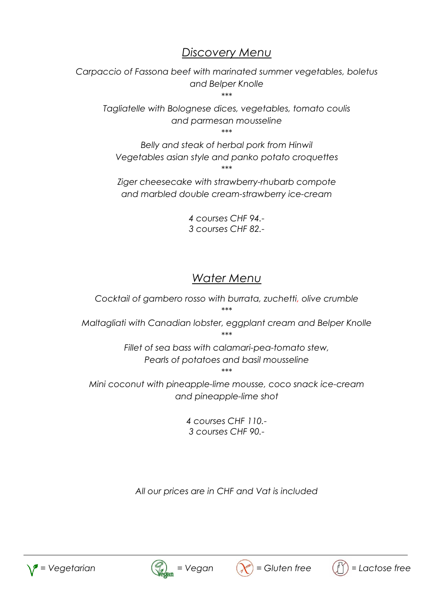## *Discovery Menu*

*Carpaccio of Fassona beef with marinated summer vegetables, boletus and Belper Knolle \*\*\**

*Tagliatelle with Bolognese dices, vegetables, tomato coulis and parmesan mousseline \*\*\**

*Belly and steak of herbal pork from Hinwil Vegetables asian style and panko potato croquettes \*\*\**

*Ziger cheesecake with strawberry-rhubarb compote and marbled double cream-strawberry ice-cream*

> *4 courses CHF 94.- 3 courses CHF 82.-*

# *Water Menu*

*Cocktail of gambero rosso with burrata, zuchetti, olive crumble \*\*\* Maltagliati with Canadian lobster, eggplant cream and Belper Knolle \*\*\* Fillet of sea bass with calamari-pea-tomato stew, Pearls of potatoes and basil mousseline \*\*\* Mini coconut with pineapple-lime mousse, coco snack ice-cream and pineapple-lime shot*

> *4 courses CHF 110.- 3 courses CHF 90.-*

*All our prices are in CHF and Vat is included*







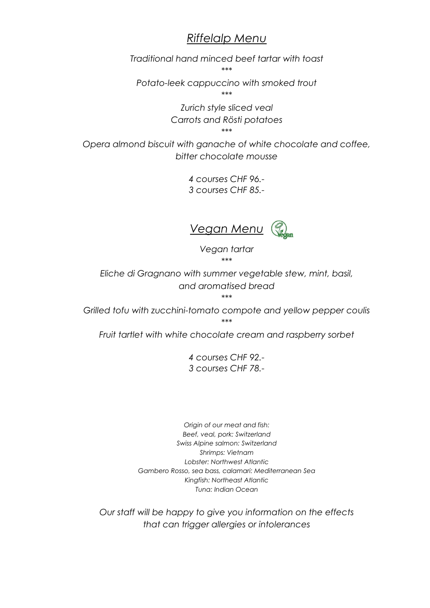#### *Riffelalp Menu*

*Traditional hand minced beef tartar with toast*

*\*\*\**

*Potato-leek cappuccino with smoked trout*

*\*\*\**

*Zurich style sliced veal Carrots and Rösti potatoes \*\*\**

*Opera almond biscuit with ganache of white chocolate and coffee, bitter chocolate mousse*

> *4 courses CHF 96.- 3 courses CHF 85.-*



*Vegan tartar \*\*\**

*Eliche di Gragnano with summer vegetable stew, mint, basil, and aromatised bread \*\*\**

*Grilled tofu with zucchini-tomato compote and yellow pepper coulis \*\*\**

*Fruit tartlet with white chocolate cream and raspberry sorbet*

*4 courses CHF 92.- 3 courses CHF 78.-*

*Origin of our meat and fish: Beef, veal, pork: Switzerland Swiss Alpine salmon: Switzerland Shrimps: Vietnam Lobster: Northwest Atlantic Gambero Rosso, sea bass, calamari: Mediterranean Sea Kingfish: Northeast Atlantic Tuna: Indian Ocean*

*Our staff will be happy to give you information on the effects that can trigger allergies or intolerances*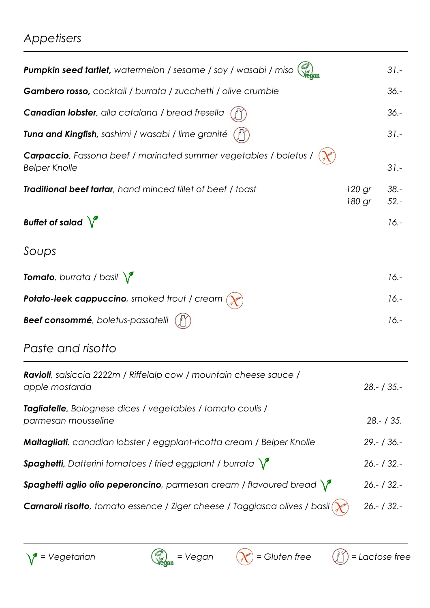# *Appetisers*

| Pumpkin seed tartlet, watermelon / sesame / soy / wasabi / miso                              |                  | $31 -$            |
|----------------------------------------------------------------------------------------------|------------------|-------------------|
| Gambero rosso, cocktail / burrata / zucchetti / olive crumble                                |                  | $36. -$           |
| Canadian lobster, alla catalana / bread fresella                                             |                  | $36. -$           |
| Tuna and Kingfish, sashimi / wasabi / lime granité                                           |                  | $31 -$            |
| Carpaccio, Fassona beef / marinated summer vegetables / boletus /<br><b>Belper Knolle</b>    |                  | $31 -$            |
| Traditional beef tartar, hand minced fillet of beef / toast                                  | 120 gr<br>180 gr | $38. -$<br>$52 -$ |
| Buffet of salad $\sqrt{\ }$                                                                  |                  | $16. -$           |
| Soups                                                                                        |                  |                   |
| <b>Tomato</b> , burrata / basil $\sqrt{\phantom{a}}$                                         |                  | $16. -$           |
| Potato-leek cappuccino, smoked trout / cream                                                 |                  | $16.-$            |
| Beef consommé, boletus-passatelli                                                            |                  | $16. -$           |
| Paste and risotto                                                                            |                  |                   |
| <b>Ravioli</b> , salsiccia 2222m / Riffelalp cow / mountain cheese sauce /<br>apple mostarda |                  | $28 - 735 -$      |
| Tagliatelle, Bolognese dices / vegetables / tomato coulis /<br>parmesan mousseline           |                  | $28 - 735$ .      |
| Maltagliati, canadian lobster / eggplant-ricotta cream / Belper Knolle                       |                  | $29 - 136 -$      |
| <b>Spaghetti,</b> Datterini tomatoes / fried eggplant / burrata $\sqrt{\ }$                  |                  | $26 - 132 -$      |
| Spaghetti aglio olio peperoncino, parmesan cream / flavoured bread $\sqrt{\ }$               |                  | $26 - 732 -$      |
| Carnaroli risotto, tomato essence / Ziger cheese / Taggiasca olives / basil                  |                  | $26 - 132 -$      |





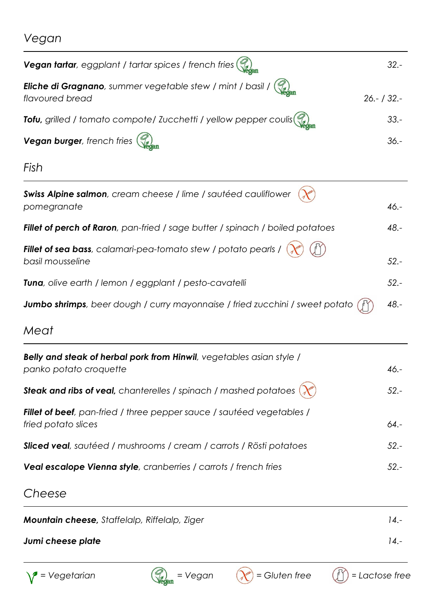# *Vegan*

| <b>Vegan tartar</b> , eggplant / tartar spices / french fries $\left(\begin{matrix} 0 \\ 0 \end{matrix}\right)$                                                                                                                                                                                                                                    | $32 -$       |
|----------------------------------------------------------------------------------------------------------------------------------------------------------------------------------------------------------------------------------------------------------------------------------------------------------------------------------------------------|--------------|
| <b>Eliche di Gragnano</b> , summer vegetable stew / mint / basil / $\binom{22}{\binom{22}{\binom{22}{\binom{22}{\binom{22}{\binom{22}{\binom{22}{\binom{22}{\binom{22}{\binom{22}{\binom{22}{\binom{22}{\binom{22}{\binom{22}{\binom{22}{\binom{22}{\binom{22}{\binom{22}{\binom{22}{\binom{22}{\binom{22}{\binom{22}{\binom{2$<br>flavoured bread | $26 - 132 -$ |
| Tofu, grilled / tomato compote/ Zucchetti / yellow pepper coulis $\binom{2}{\log n}$                                                                                                                                                                                                                                                               | $33 -$       |
| Vegan burger, french fries (                                                                                                                                                                                                                                                                                                                       | $36. -$      |

*Fish*

| Swiss Alpine salmon, cream cheese / lime / sautéed cauliflower<br>pomegranate                                               | $46. -$ |
|-----------------------------------------------------------------------------------------------------------------------------|---------|
| Fillet of perch of Raron, pan-fried / sage butter / spinach / boiled potatoes                                               | $48. -$ |
| Fillet of sea bass, calamari-pea-tomato stew / potato pearls /<br>basil mousseline                                          | $52 -$  |
| <b>Tuna</b> , olive earth / lemon / eggplant / pesto-cavatelli                                                              | $52 -$  |
| <b>Jumbo shrimps</b> , beer dough / curry mayonnaise / fried zucchini / sweet potato $\begin{pmatrix} 1 \\ 1 \end{pmatrix}$ | $48. -$ |

# *Meat*

| <b>Belly and steak of herbal pork from Hinwil</b> , vegetables asian style /<br>panko potato croquette  | $46. -$ |
|---------------------------------------------------------------------------------------------------------|---------|
| <b>Steak and ribs of veal,</b> chanterelles / spinach / mashed potatoes $\left(\lambda^{\alpha}\right)$ | $52 -$  |
| <b>Fillet of beef</b> , pan-fried / three pepper sauce / sautéed vegetables /<br>fried potato slices    | $64. -$ |
| <b>Sliced veal</b> , sautéed / mushrooms / cream / carrots / Rösti potatoes                             | $52 -$  |
| Veal escalope Vienna style, cranberries / carrots / french fries                                        | 52.-    |

# *Cheese*

| <b>Mountain cheese, Staffelalp, Riffelalp, Ziger</b> | $14. -$ |
|------------------------------------------------------|---------|
| Jumi cheese plate                                    | $14. -$ |





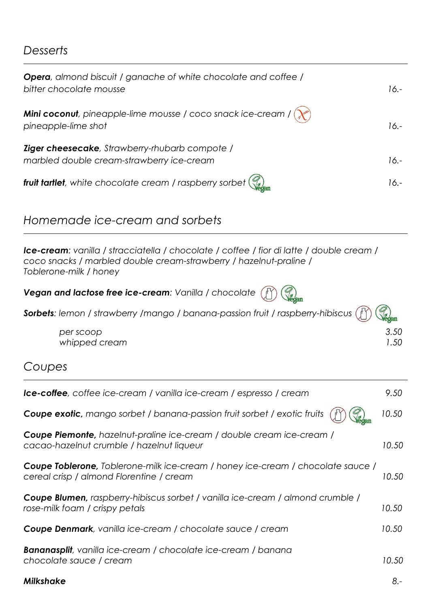### *Desserts*

| <b>Opera</b> , almond biscuit / ganache of white chocolate and coffee /<br>bitter chocolate mousse     | 16.-    |
|--------------------------------------------------------------------------------------------------------|---------|
| <b>Mini coconut</b> , pineapple-lime mousse / coco snack ice-cream / $(\chi^*)$<br>pineapple-lime shot | $16. -$ |
| Ziger cheesecake, Strawberry-rhubarb compote /<br>marbled double cream-strawberry ice-cream            | $16.-$  |
| <b>fruit tartlet</b> , white chocolate cream / raspberry sorbet $\binom{m}{k}$                         | $16. -$ |

# *Homemade ice-cream and sorbets*

*Ice-cream: vanilla / stracciatella / chocolate / coffee / fior di latte / double cream / coco snacks / marbled double cream-strawberry / hazelnut-praline / Toblerone-milk / honey* 

| Vegan and lactose free ice-cream: Vanilla / chocolate (i) (Segan |  |  |
|------------------------------------------------------------------|--|--|
|------------------------------------------------------------------|--|--|

| Sorbets: lemon / strawberry /mango / banana-passion fruit / raspberry-hibiscus (f) (a) |              |
|----------------------------------------------------------------------------------------|--------------|
| per scoop<br>whipped cream                                                             | 3.50<br>1.50 |
|                                                                                        |              |

### *Coupes*

| <b>Ice-coffee</b> , coffee ice-cream / vanilla ice-cream / espresso / cream                                                         | 9.50   |
|-------------------------------------------------------------------------------------------------------------------------------------|--------|
| <b>Coupe exotic</b> , mango sorbet / banana-passion fruit sorbet / exotic fruits                                                    | 10.50  |
| <b>Coupe Piemonte,</b> hazelnut-praline ice-cream / double cream ice-cream /<br>cacao-hazelnut crumble / hazelnut liqueur           | 10.50  |
| <b>Coupe Toblerone</b> , Toblerone-milk ice-cream / honey ice-cream / chocolate sauce /<br>cereal crisp / almond Florentine / cream | 10.50  |
| Coupe Blumen, raspberry-hibiscus sorbet / vanilla ice-cream / almond crumble /<br>rose-milk foam / crispy petals                    | 10.50  |
| <b>Coupe Denmark</b> , vanilla ice-cream / chocolate sauce / cream                                                                  | 10.50  |
| <b>Bananasplit</b> , vanilla ice-cream / chocolate ice-cream / banana<br>chocolate sauce / cream                                    | 10.50  |
| <b>Milkshake</b>                                                                                                                    | $8. -$ |